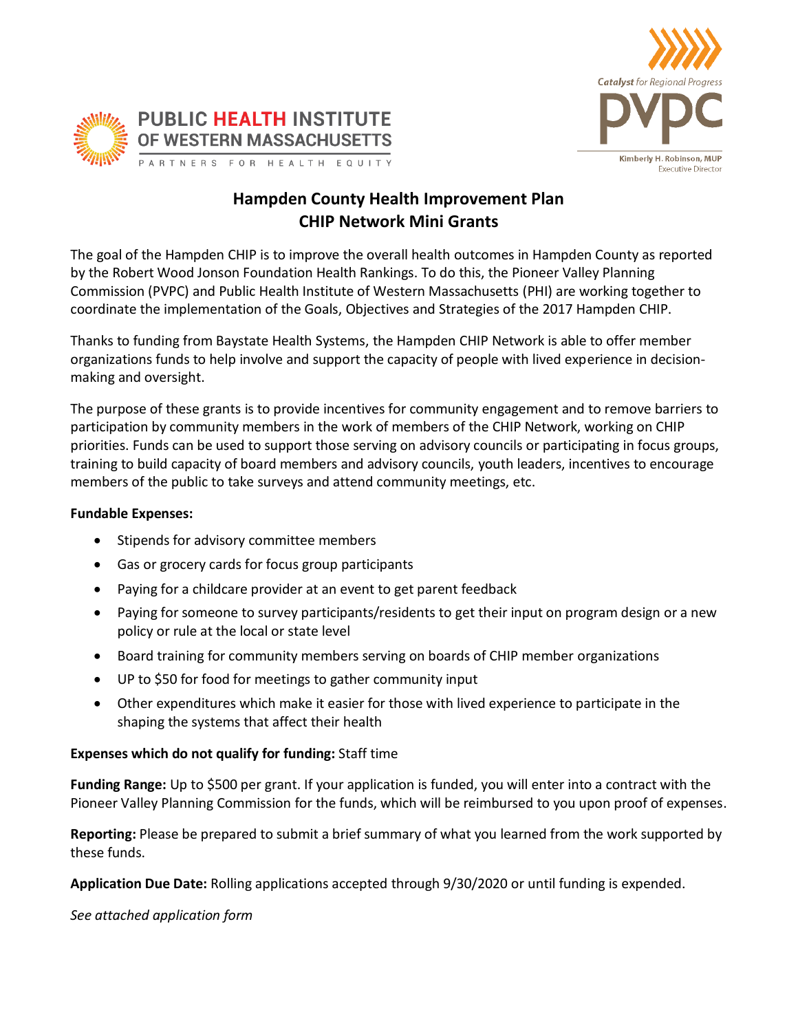



# **Hampden County Health Improvement Plan CHIP Network Mini Grants**

The goal of the Hampden CHIP is to improve the overall health outcomes in Hampden County as reported by the Robert Wood Jonson Foundation Health Rankings. To do this, the Pioneer Valley Planning Commission (PVPC) and Public Health Institute of Western Massachusetts (PHI) are working together to coordinate the implementation of the Goals, Objectives and Strategies of the 2017 Hampden CHIP.

Thanks to funding from Baystate Health Systems, the Hampden CHIP Network is able to offer member organizations funds to help involve and support the capacity of people with lived experience in decisionmaking and oversight.

The purpose of these grants is to provide incentives for community engagement and to remove barriers to participation by community members in the work of members of the CHIP Network, working on CHIP priorities. Funds can be used to support those serving on advisory councils or participating in focus groups, training to build capacity of board members and advisory councils, youth leaders, incentives to encourage members of the public to take surveys and attend community meetings, etc.

### **Fundable Expenses:**

- Stipends for advisory committee members
- Gas or grocery cards for focus group participants
- Paying for a childcare provider at an event to get parent feedback
- Paying for someone to survey participants/residents to get their input on program design or a new policy or rule at the local or state level
- Board training for community members serving on boards of CHIP member organizations
- UP to \$50 for food for meetings to gather community input
- Other expenditures which make it easier for those with lived experience to participate in the shaping the systems that affect their health

## **Expenses which do not qualify for funding:** Staff time

**Funding Range:** Up to \$500 per grant. If your application is funded, you will enter into a contract with the Pioneer Valley Planning Commission for the funds, which will be reimbursed to you upon proof of expenses.

**Reporting:** Please be prepared to submit a brief summary of what you learned from the work supported by these funds.

**Application Due Date:** Rolling applications accepted through 9/30/2020 or until funding is expended.

*See attached application form*